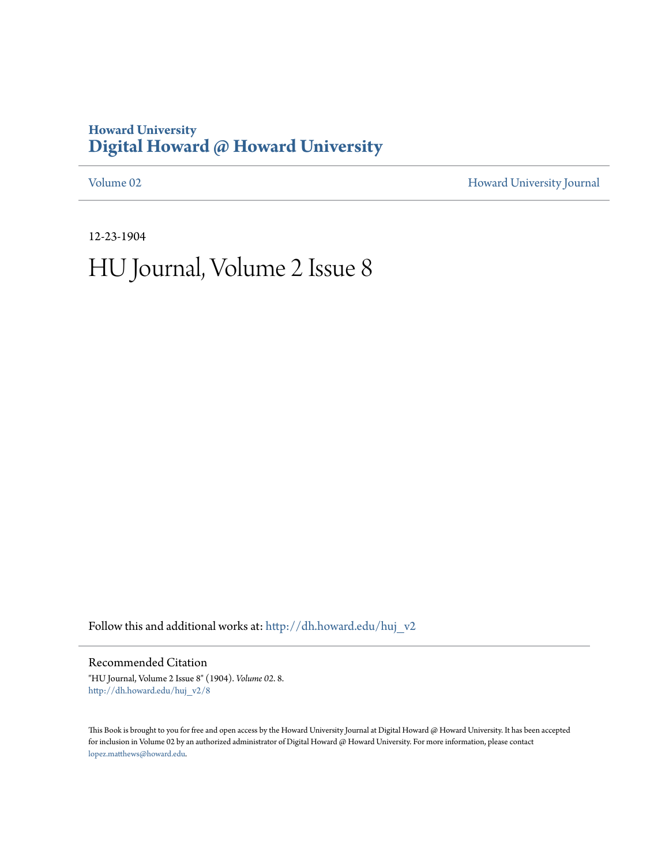# **Howard University [Digital Howard @ Howard University](http://dh.howard.edu?utm_source=dh.howard.edu%2Fhuj_v2%2F8&utm_medium=PDF&utm_campaign=PDFCoverPages)**

[Volume 02](http://dh.howard.edu/huj_v2?utm_source=dh.howard.edu%2Fhuj_v2%2F8&utm_medium=PDF&utm_campaign=PDFCoverPages) [Howard University Journal](http://dh.howard.edu/huj?utm_source=dh.howard.edu%2Fhuj_v2%2F8&utm_medium=PDF&utm_campaign=PDFCoverPages)

12-23-1904 HU Journal, Volume 2 Issue 8

Follow this and additional works at: [http://dh.howard.edu/huj\\_v2](http://dh.howard.edu/huj_v2?utm_source=dh.howard.edu%2Fhuj_v2%2F8&utm_medium=PDF&utm_campaign=PDFCoverPages)

Recommended Citation

"HU Journal, Volume 2 Issue 8" (1904). *Volume 02*. 8. [http://dh.howard.edu/huj\\_v2/8](http://dh.howard.edu/huj_v2/8?utm_source=dh.howard.edu%2Fhuj_v2%2F8&utm_medium=PDF&utm_campaign=PDFCoverPages)

This Book is brought to you for free and open access by the Howard University Journal at Digital Howard @ Howard University. It has been accepted for inclusion in Volume 02 by an authorized administrator of Digital Howard @ Howard University. For more information, please contact [lopez.matthews@howard.edu.](mailto:lopez.matthews@howard.edu)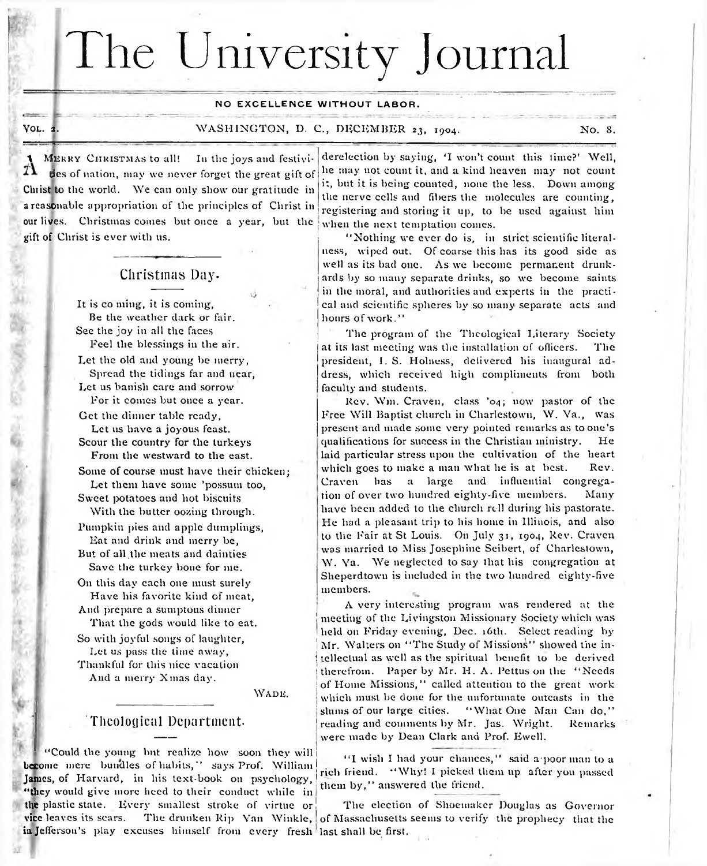# The University Journal

#### **NO EXCELLENCE WITHOUT LABOR.**

Yol. *<sup>2</sup> .*

—

#### WASHINGTON, D. C., DECEMBER 23, 1904. No. 8, No. 8,

MERRY CHRISTMAS to all! In the joys and festivities of nation, may we never forget the great gift of Christ to the world. We can only show our gratitude in a reasonable appropriation of the principles of Christ in our lives. Christmas comes but once a year, but the when the next temptation comes. gift of Christ is ever with us.

#### Christmas Day.

It is co ming, it is coming, Be the weather dark or fair. See the joy in all the faces Reel the blessings in the air.

Let the old and young be merry, Spread the tidings far and near,

Let us banish care and sorrow For it comes but once a year.

Get the dinner table ready, Let us have a joyous feast. Scour the country for the turkeys

From the westward to the east.

Some of course must have their chicken; Let them have some 'possum too,

Sweet potatoes and hot biscuits With the butter oozing through.

Pumpkin pies and apple dumplings, Eat and drink and merry be,

But of all.the meats and dainties Save the turkey bone for me.

On this day each one must surely Have his favorite kind of meat, And prepare a sumptous dinner

That the gods would like to eat.

So with joyful songs of laughter, Let us pass the time away, Thankful for this nice vacation

And a merry Xmas day.

WADE.

#### Theological Department-

"Could the young but realize how soon they will become mere bundles of habits," says Prof. William James, of Harvard, in his text-book on psychology, "they would give more heed to their conduct while in the plastic state. Every smallest stroke of virtue or! The election of Shoemaker Douglas as Governor vice leaves its scars. The drunken Rip Van Winkle, of Massachusetts seems to verify the prophecy that the in Jefferson's play excuses himself from every fresh last shall be first.

derelection by saying, 'I won't count this time?' Well, he may not count it, and a kind heaven may not count it, but it is being counted, none the less. Down among the nerve cells and fibers the molecules are counting, registering and storing it up, to be used against him

" Nothing we ever do is, in strict scientific literalness, wiped out. Of coarse this has its good side as well as its bad one. As we become permanent drunkards by so many separate drinks, so we become saints in the moral, and authorities and experts in the practical and scientific spheres by so many-separate acts and hours of work."

The program of the Theological Literary Society at its last meeting was the installation of officers. The president, I. S. Holness, delivered his inaugural address, which received high compliments from both faculty and students.

Rev. Wm. Craven, class '04; now pastor of the Free Will Baptist church in Charlestown, W. Va., was present and made some very pointed remarks as to one's qualifications for success in the Christian ministry. He laid particular stress upon the cultivation of the heart which goes to make a man what he is at best. Rev. Craven has a large and influential congregation of over two hundred eighty-five members. Many have been added to the church roll during his pastorate. He had a pleasant trip to his home in Illinois, and also to the Fair at St Louis. On July 31, 1904, Rev. Craven was married to Miss Josephine Seibert, of Charlestown, W. Ya. We neglected to say that his congregation at Sheperdtown is included in the two hundred eighty-five members.

A very interesting program was rendered at the meeting of the Livingston Missionary Society which was held on Friday evening, Dec. 16th. Select reading by Mr. Walters on "The Study of Missions" showed the intellectual as well as the spiritual benefit to be derived therefrom. Paper by Mr. H. A. Pettus on the "Needs of Home Missions," called attention to the great work which must be done for the unfortunate outcasts in the slums of our large cities. "What One Man Can do." reading and comments by Mr. Jas. Wright. Remarks were made by Dean Clark and Prof. Ewell.

"I wish I had your chances," said a poor man to a rich friend. "Why! I picked them up after you passed them by," answered the friend.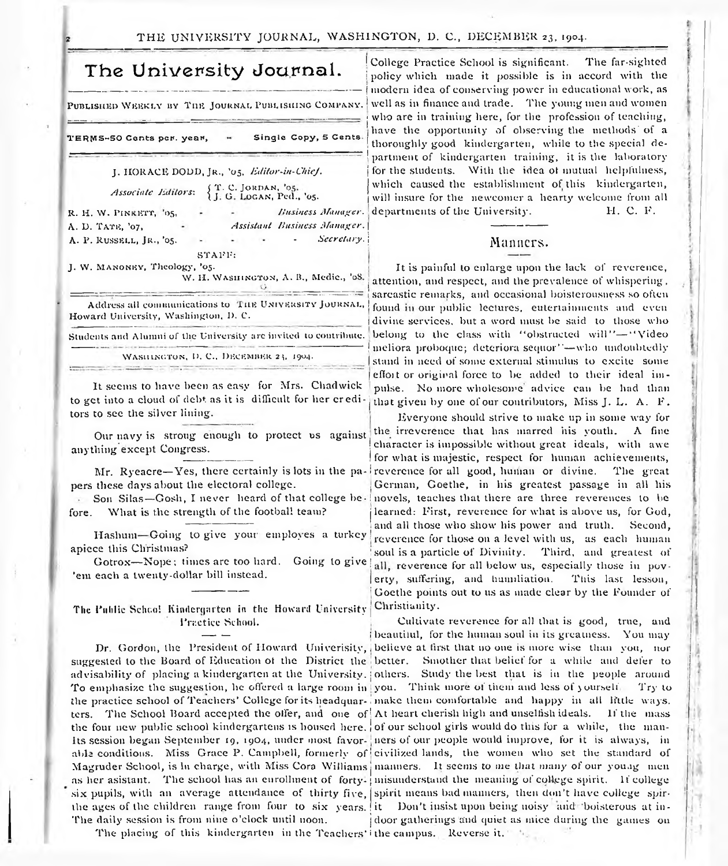TERMS-50 Cents per. year, - Single Copy, 5 Cents

J. HORACE DODD, JR., '05. *Editor-in-Chief.* 

*Associate Editors*: {T. C. JORDAN, '05. '05.

R. H. W. PINKETT, '05. A. D. TATE, '07, Assistant Business Manager. A. P. RUSSELL, JR., '05.  $\sim$ *Secretary.*] Minners.  $\text{STAPF}$  : J. W. MANONEY, Theology, '05. W. H. WASHINGTON, A. B., Medie., '08.

Students and Alumni of the University are invited to contribute.

WASHINGTON, D. C., DECEMBER 23, 1904.

It seems to have been as easy for Mrs. Chadwick to get into a cloud of debt as it is difficult for her creditors to see the silver lining.

Our navy is stroug enough to protect us against anything except Congress.

Mr. Ryeacre-Yes, there certainly is lots in the papers these days about the electoral college.

Son Silas-Gosh, I never heard of that college before. What is the strength of the football team?

Gotrox— Nope; times are too hard, 'em each a tweuty-dollar bill instead.

The Public Schoo! Kindergarten in the Howard University Christianity.

suggested to the Board of Education oi the District the better. Smother that belief for a while and defer to advisability of placing a kindergarten at the University. jothers. Study the best that is in the people around To emphasize the suggestion, he offered a large room in you. Think more of them and less of yourself Try to the practice school of Teachers' College for its headquar-, make them comfortable and happy in all little ways, ters. The School Board accepted the offer, and one of  $\Lambda$ t heart cherish high and unselfish ideals. If the mass the four new public school kindergartens is housed here, of our school girls would do this for a while, the man-Its session began September 19, 19O4, under most favor-' liers of our people would improve, for it is always, in able conditions. Miss Grace P. Campbell, formerly of civilized lands, the women who set the standard of Magruder School, is In charge, with Miss Cora Williams manners. It seems to me that many of our young men as her asistant. The school has an enrollment of forty-; misunderstand the meaning of college spirit. If college six pupils, with an average attendance of thirty five, spirit means bad manners, then don't have college spirthe ages of the children range from four to six years. It Don't insist upon being noisy and boisterous at in-The daily session is from nine o'clock until noon.  $\qquad$  door gatherings and quiet as mice during the games on

The placing of this kindergarten in the Teachers' ithe campus. Reverse it.

The University Journal. College Practice School is significant. The far-sighted The University Journal.  $\begin{bmatrix} \text{Collect the} \\ \text{policy which made it possible is in accord with the} \end{bmatrix}$ modern idea of conserving power in educational work, as PUBLISHED WEEKLY BY THE JOURNAL PUBLISHING COMPANY. Well as in finance and trade. The young men and women who are in training here, for the profession of teaching, have the opportunity of observing the methods'of a thoroughly good kindergarten, while to the special department of kindergarten training, it is the laboratory for the students. With the idea of mutual helpfulness, which caused the establishment of this kindergarten, will insure for the newcomer a hearty welcome from all H. C. E. *Business Manager.* departments of the University.

It is painful to enlarge upon the lack of reverence, attention, and respect, and the prevalence of whispering, ----------- — - ---------- \* 1----------------- 1 sarcastic remarks, and occasional boisterousness so often Address all communications to THE UNIVERSITY JOURNAL, found in our public lectures, eutertainments and even<br>Howard University, Washington, D. C. divine services, but a word must be said to those who belong to the class with "obstructed will"-"Video meliora proboque; deteriora sequor''-who undoubtedly stand in need of some external stimulus to excite some effort or original force to be added to their ideal impulse. No more wholesome advice can be had than that given by one of our contributors, Miss J. L. A. F.

Everyone should strive to make up in some way for the irreverence that lias marred his youth. A fine character is impossible without great ideals, with awe for what is majestic, respect for human achievements, reverence for all good, human or divine. The great , German, Goethe, in his greatest passage in all his novels, teaches that there are three reverences to be learned: First, reverence for what is above us, for God, and all those who show his power and truth. Second,<br>Hashum—Going to give your employes a turkey reverence for those on a level with us as each human reverence for those on a level with us, as each human apiece this Christmas?  $\frac{1}{2}$  soul is a particle of Divinity. Third, and greatest of all, reverence for all below us, especially those in povlerty, suffering, and humiliation. This last lesson, Goethe points out to us as made clear by the Founder of

**Practice School.** Cultivate reverence for all that is good, true, and beautiful, for the human soul in its greatness. You may Dr. Gordon, the President of Howard Univerisity, ; believe at first that no one is more wise than you, nor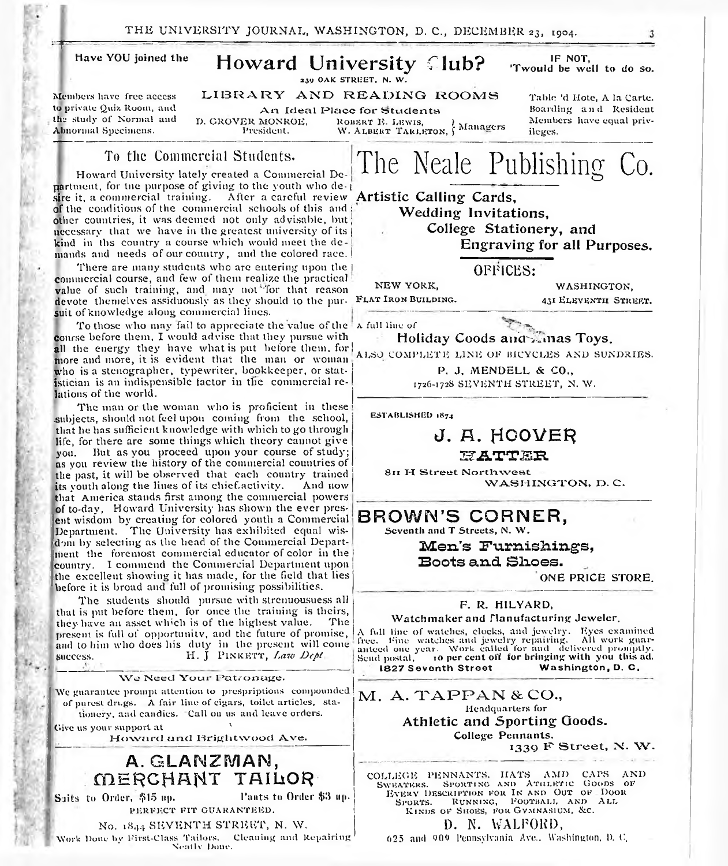THE UNIVERSITY JOURNAL, WASHINGTON, D.C., DECEMBER 23, 1904.

#### have YOU joined the Members have free access to private Quiz Room, and the study of Normal and Abnormal Specimens. Howard University Club? 239 OAK STREET, N. W. LIBRARY AND READING ROOMS An Ideal Place for Students<br>D. GROVER MONROE. Robert E. Lewis. D. GROVER MONROE, ROBERT E. LEWIS, Managers President. W. ALBERT TARLETON, Managers IF NOT, 'Twould be well to do so. Table 'd Hote, A la Carte. Boarding and Resident Members have equal privileges. To the Commercial Students. Howard University lately created a Commercial Department, for tne purpose of giving to the youth who de-1 sire it, a commercial training. After a careful review of the conditions of the commercial schools of this and : other countries, it was deemed not only advisable, but The Neale Publishing Co. Artistic Calling Cards, Wedding Invitations.

kind in lbs country a course which would meet the demands and needs of our country, and the colored race. There are many students who are entering upon the commercial course, and few of them realize the practical value of such training, and may not'Tor that reason devote themelves assiduously as they should to the pur-

necessary that we have in the greatest university of its |

f

suit of knowledge along commercial lines. To those who may fail to appreciate the value of the a full line of course before them, I would advise that they pursue with all the energy they have what is put before them, for more and more, it is evident that the man or woman who is a stenographer, typewriter, bookkeeper, or statistician is an indispensible factor in the commercial relations of the world.

The man or the woman who is proficient in these .subjects, should not feel upon coming from the school, that he has sufficient knowledge with which to go through life, for there are some things which theory cannot give you. But as you proceed upon your course of study; as you review the history of the commercial countries of the past, it will be observed that each country trained<br>its youth along the lines of its chief activity. And now its youth along the lines of its chief-activity. that America stands first among the commercial powers of to-day, Howard University has shown the ever present wisdom by creating for colored youth a Commercial Department. The University has exhibited equal wisdom by selecting as the head of the Commercial Department the foremost commercial educator of color in the country. I commend the Commercial Department upon the excellent showing it has made, for the field that lies before it is broad and full of promising possibilities.

The students should pursue with strenuousuess all that is put before them, for once the training is theirs,<br>they have an asset which is of the highest value. The they have an asset which is of the highest value. present is full of opportunity, and the future of promise, and to him who does his duty in the present will come success. H. J PINKETT, *Law Dept* 

We Need Your Patronage. We guarantee prompt attention to prespriptions compounded of purest drugs. A fair line of eigars, toilet articles, stationery, and candies. "Call on us and leave orders. Give us your support at  $10^{\circ}$  Howard and Brightwood Ave. A. GLANZMAN, MERCHANT TAILOR Suits to Order, #15 up. Pants to Order #5 up. PERFECT FIT GUARANTEED.

No. 1844 SEVENTH STREET, N. W. Work Done by First-Class Tailors. Cleaning and Repairing Nently Done.

College Stationery, and Engraving for all Purposes.

OFFICES:

WASHINGTON. 431 ELEVENTH STREET.

NEW YORK, FLAT IRON BUILDING.

A full line of  $\mathbb{C}^m$ H oliday Coods andSC inas T oys.

ALSO COMPLETE LINE OF BICYCLES AND SUNDRIES.

P. J. MENDELL & CO., 1726-1728 SEVENTH STREET, N. W.

ESTABLISHED 1874

## J. A. HOOVER

S f A T T S E

811 H-Street Northwest WASHINGTON, D.C.

BROWN'S CORNER,

Seventh and T Streets, N. W.

Men's Furnishings, Boots and Shoes.

ONE PRICE STORE.

#### F. R. HILYARD,

W atchmaker and Tlanufacturing Jeweler.

A full line of watches, clocks, and jewelry. Eyes examined<br>free. Fine watches and jewelry repairing. All work guar-<br>anteed one year. Work called for and delivered promptly. Send postal, ro per cent off for bringing with you this ad. 1827 Seventh Street Washington, D. C.

 $M.$  A. TAPPAN & CO., Headquarters for Athletic and Sporting Goods. College Pennants.

1330 F Street, X. W-

COLLEGE PENNANTS, HATS AMD CAPS AND<br>Sweaters. Sporting and Athletic Goods of Every Description for In and Out of Door<br>Sports. Running, Football, and All KINDS OF SHOES, FOR GYMNASIUM, &C.

D. N. WALFORD,<br>625 and 900 Pennsylvania Ave.. Washington, D. C.